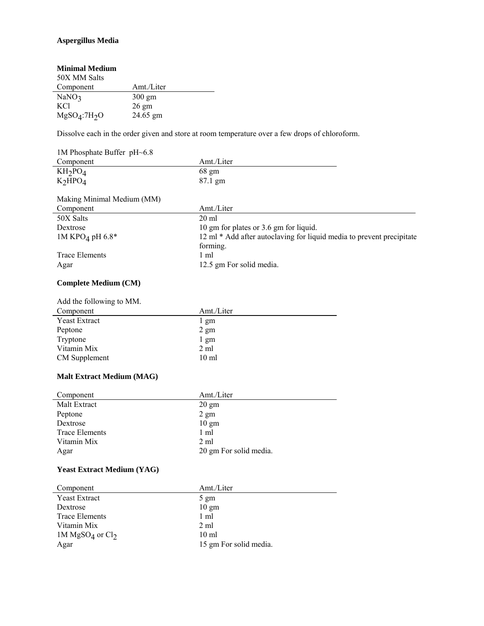## **Aspergillus Media**

| Amt./Liter       |
|------------------|
| $300 \text{ gm}$ |
| $26 \text{ gm}$  |
| 24.65 gm         |
|                  |

Dissolve each in the order given and store at room temperature over a few drops of chloroform.

| 1M Phosphate Buffer pH~6.8      |                                                                       |
|---------------------------------|-----------------------------------------------------------------------|
| Component                       | Amt./Liter                                                            |
| KH <sub>2</sub> PO <sub>4</sub> | 68 gm                                                                 |
| K <sub>2</sub> HPO <sub>4</sub> | $87.1 \text{ gm}$                                                     |
| Making Minimal Medium (MM)      |                                                                       |
| Component                       | Amt./Liter                                                            |
| 50X Salts                       | $20 \text{ ml}$                                                       |
| Dextrose                        | 10 gm for plates or 3.6 gm for liquid.                                |
| 1M KPO <sub>4</sub> pH 6.8*     | 12 ml * Add after autoclaving for liquid media to prevent precipitate |
|                                 | forming.                                                              |
| Trace Elements                  | 1 ml                                                                  |
| Agar                            | 12.5 gm For solid media.                                              |

## **Complete Medium (CM)**

| Add the following to MM. |                  |
|--------------------------|------------------|
| Component                | Amt./Liter       |
| <b>Yeast Extract</b>     | 1 gm             |
| Peptone                  | $2 \text{ gm}$   |
| Tryptone                 | $1 \text{ gm}$   |
| Vitamin Mix              | $2 \text{ ml}$   |
| <b>CM</b> Supplement     | 10 <sub>ml</sub> |

## **Malt Extract Medium (MAG)**

| Component             | Amt./Liter             |
|-----------------------|------------------------|
| Malt Extract          | $20 \text{ gm}$        |
| Peptone               | $2 \text{ gm}$         |
| Dextrose              | $10 \text{ gm}$        |
| <b>Trace Elements</b> | 1 ml                   |
| Vitamin Mix           | $2 \text{ ml}$         |
| Agar                  | 20 gm For solid media. |

## **Yeast Extract Medium (YAG)**

| Component                               | Amt./Liter             |
|-----------------------------------------|------------------------|
| <b>Yeast Extract</b>                    | $5 \text{ gm}$         |
| Dextrose                                | $10 \text{ gm}$        |
| Trace Elements                          | 1 ml                   |
| Vitamin Mix                             | 2 ml                   |
| 1M MgSO <sub>4</sub> or Cl <sub>2</sub> | $10 \text{ ml}$        |
| Agar                                    | 15 gm For solid media. |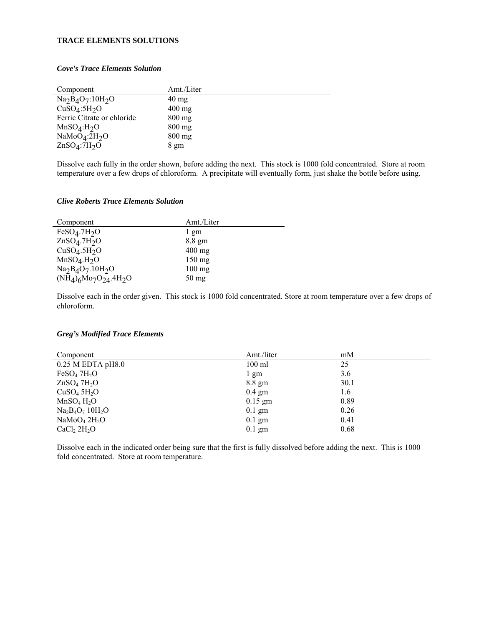## **TRACE ELEMENTS SOLUTIONS**

#### *Cove's Trace Elements Solution*

| Component                             | Amt./Liter       |
|---------------------------------------|------------------|
| $Na2B4O7:10H2O$                       | $40 \text{ mg}$  |
| CuSO <sub>4</sub> :5H <sub>2</sub> O  | $400 \text{ mg}$ |
| Ferric Citrate or chloride            | $800 \text{ mg}$ |
| MnSO <sub>4</sub> :H <sub>2</sub> O   | $800 \text{ mg}$ |
| NaMoO <sub>4</sub> :2H <sub>2</sub> O | $800 \text{ mg}$ |
| ZnSO <sub>4</sub> :7H <sub>2</sub> O  | $8 \text{ gm}$   |

Dissolve each fully in the order shown, before adding the next. This stock is 1000 fold concentrated. Store at room temperature over a few drops of chloroform. A precipitate will eventually form, just shake the bottle before using.

## *Clive Roberts Trace Elements Solution*

| Component                            | Amt./Liter       |
|--------------------------------------|------------------|
| FeSO <sub>4</sub> .7H <sub>2</sub> O | 1 gm             |
| ZnSO <sub>4</sub> .7H <sub>2</sub> O | $8.8 \text{ gm}$ |
| CuSO <sub>4</sub> .5H <sub>2</sub> O | $400 \text{ mg}$ |
| MnSO <sub>4</sub> .H <sub>2</sub> O  | $150 \text{ mg}$ |
| $Na2B4O7$ .10H <sub>2</sub> O        | $100 \text{ mg}$ |
| $(NH_4)$ 6Mo7O24.4H <sub>2</sub> O   | $50 \text{ mg}$  |

Dissolve each in the order given. This stock is 1000 fold concentrated. Store at room temperature over a few drops of chloroform.

#### *Greg's Modified Trace Elements*

| Component                            | Amt./liter       | mM   |
|--------------------------------------|------------------|------|
| $0.25$ M EDTA pH8.0                  | $100$ ml         | 25   |
| FeSO <sub>4</sub> 7H <sub>2</sub> O  | 1 gm             | 3.6  |
| ZnSO <sub>4</sub> 7H <sub>2</sub> O  | 8.8 gm           | 30.1 |
| CuSO <sub>4</sub> 5H <sub>2</sub> O  | $0.4 \text{ gm}$ | 1.6  |
| MnSO <sub>4</sub> H <sub>2</sub> O   | $0.15$ gm        | 0.89 |
| $Na2B4O7 10H2O$                      | $0.1$ gm         | 0.26 |
| NaMoO <sub>4</sub> 2H <sub>2</sub> O | $0.1$ gm         | 0.41 |
| CaCl <sub>2</sub> 2H <sub>2</sub> O  | $0.1$ gm         | 0.68 |

Dissolve each in the indicated order being sure that the first is fully dissolved before adding the next. This is 1000 fold concentrated. Store at room temperature.